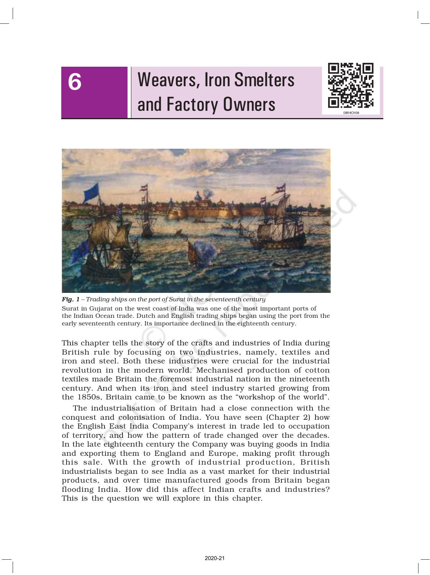# Weavers, Iron Smelters and Factory Owners

6





*Fig. 1 – Trading ships on the port of Surat in the seventeenth century* Surat in Gujarat on the west coast of India was one of the most important ports of the Indian Ocean trade. Dutch and English trading ships began using the port from the early seventeenth century. Its importance declined in the eighteenth century.

This chapter tells the story of the crafts and industries of India during British rule by focusing on two industries, namely, textiles and iron and steel. Both these industries were crucial for the industrial revolution in the modern world. Mechanised production of cotton textiles made Britain the foremost industrial nation in the nineteenth century. And when its iron and steel industry started growing from the 1850s, Britain came to be known as the "workshop of the world".

The industrialisation of Britain had a close connection with the conquest and colonisation of India. You have seen (Chapter 2) how the English East India Company's interest in trade led to occupation of territory, and how the pattern of trade changed over the decades. In the late eighteenth century the Company was buying goods in India and exporting them to England and Europe, making profit through this sale. With the growth of industrial production, British industrialists began to see India as a vast market for their industrial products, and over time manufactured goods from Britain began flooding India. How did this affect Indian crafts and industries? This is the question we will explore in this chapter.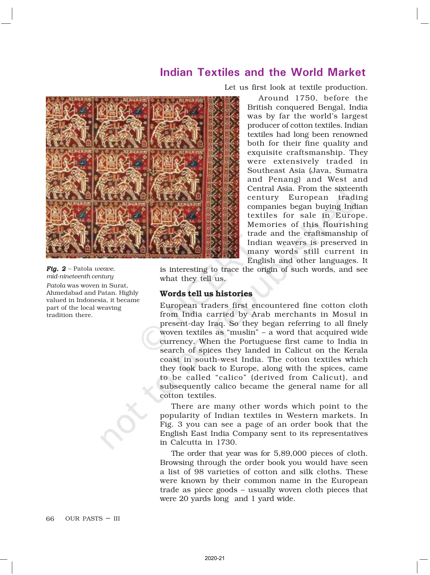# Indian Textiles and the World Market



*Fig. 2 –* Patola *weave, mid-nineteenth century Patola* was woven in Surat, Ahmedabad and Patan. Highly valued in Indonesia, it became part of the local weaving

tradition there.

Let us first look at textile production.

Around 1750, before the British conquered Bengal, India was by far the world's largest producer of cotton textiles. Indian textiles had long been renowned both for their fine quality and exquisite craftsmanship. They were extensively traded in Southeast Asia (Java, Sumatra and Penang) and West and Central Asia. From the sixteenth century European trading companies began buying Indian textiles for sale in Europe. Memories of this flourishing trade and the craftsmanship of Indian weavers is preserved in many words still current in English and other languages. It

is interesting to trace the origin of such words, and see what they tell us.

### Words tell us histories

European traders first encountered fine cotton cloth from India carried by Arab merchants in Mosul in present-day Iraq. So they began referring to all finely woven textiles as "muslin" – a word that acquired wide currency. When the Portuguese first came to India in search of spices they landed in Calicut on the Kerala coast in south-west India. The cotton textiles which they took back to Europe, along with the spices, came to be called "calico" (derived from Calicut), and subsequently calico became the general name for all cotton textiles.

There are many other words which point to the popularity of Indian textiles in Western markets. In Fig. 3 you can see a page of an order book that the English East India Company sent to its representatives in Calcutta in 1730.

The order that year was for 5,89,000 pieces of cloth. Browsing through the order book you would have seen a list of 98 varieties of cotton and silk cloths. These were known by their common name in the European trade as piece goods – usually woven cloth pieces that were 20 yards long and 1 yard wide.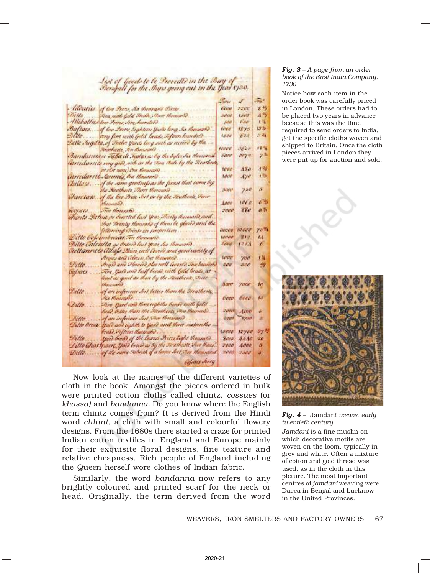| Lut of Goods to be Provided in the Bay of<br>Bengall for the Ings going out in the Year 1730. |
|-----------------------------------------------------------------------------------------------|

|                                   |                                                               | <b>USINAV</b> | w.            |
|-----------------------------------|---------------------------------------------------------------|---------------|---------------|
|                                   | - Ideality of two Press, Six thousand Little                  | <b>COLU</b>   | 72 E E        |
|                                   | Dello  Fire mith Gold Sheet, There thousand                   | 3800          | <b>Firest</b> |
|                                   | Alleballits for Seites Sin hunders                            | <b>Add</b>    | $630^{\circ}$ |
|                                   | Baftars of low Princ Sightien Yurk long , by thousand         | texe          | 1875          |
|                                   | polite  way fine nath Gold Tuads, Sifteen hundred             | 1500          | 624           |
|                                   | Settle Jugilea, of Trades Yards long such as receive by the   |               |               |
|                                   | Meatheric An Hansanie                                         | woor          | 3621          |
|                                   | Barrilarvotst er valla ili Hodav av by the byla Six thensond  | <b>PANY</b>   | $-77 -$       |
|                                   | värtedarrets very god), nuls är the Sina Bale by the Hratheat |               |               |
|                                   |                                                               | юес           | 483           |
|                                   |                                                               | <b>MAGE</b>   | $A/\theta$    |
|                                   | Artilars  of the same goodness as the finant that came by     |               |               |
|                                   | the Meatherte Phone thousand Committee                        | <b>MRAT</b>   | 756           |
|                                   | Showtan of the last Bree Set as by the Heatherte, Sour        |               |               |
|                                   | Monnaco de                                                    | Anno          | 1011          |
| iversets                          | The Bauean                                                    | PEACH         | 880           |
|                                   | Thints Dichut as directed last year, sheety therean and       |               |               |
|                                   | that Trenty theurahe of them be glazed and the                |               |               |
|                                   | following chink in properties                                 | <b>NOON</b>   | 12000         |
|                                   | Difte Copumbicant von themaño                                 | telever       | 署理            |
|                                   | Dello Calculla as Orders last spat, ha thousant?              | <b>DOM:</b>   | $1 - 3$       |
|                                   | Outlannus allays Main, well lovers and good vanity of         |               |               |
|                                   | Annes and Coleus, One Rounded                                 | ww            | 700           |
| Villo.                            | Angre and Moreire Alon will Geveric Sure humerly              | 500           | 500           |
| coparci.                          | Fire, yard and half bread with Gold heads, at                 |               |               |
|                                   | load as good as than by the Houtheate, Sour                   |               |               |
|                                   | theaventhe                                                    |               | haw you       |
| <i><b><i><u>Ailte</u></i></b></i> | of an inferiour Set better than the Bleatherty.               |               |               |
|                                   |                                                               | bece          | ecco          |
| Dello                             | Dim, Yard and three coghithe broad roith Gold                 |               |               |
|                                   | head, better than the Swathcott Shoo theman!).                | <b>Zovert</b> | $-1000$       |
|                                   | Dillo  of an inferiour Seit The thousand                      |               | Seed Alm      |
|                                   | Fille Orua York and righth to Yark and their subcentive       |               |               |
|                                   | Prest, of him there and contact the con-                      | town          | 1275          |
| $P$ illo                          | Spire broad of the Course Press Light thousand.               | <b>Body</b>   | 444           |
|                                   | Lillo Chartport, Yaid Good as by the Steatheate, Sico Maux.   | vovo          | 4000          |
| Ditto                             | of the same Schnick of a lever Sort Store thousand            | 2000          | 7368          |
|                                   | <b>CALIFORNIA CONTRO</b>                                      |               |               |

Now look at the names of the different varieties of cloth in the book. Amongst the pieces ordered in bulk were printed cotton cloths called chintz, *cossaes* (or *khassa)* and *bandanna.* Do you know where the English term chintz comes from? It is derived from the Hindi word *chhint*, a cloth with small and colourful flowery designs. From the 1680s there started a craze for printed Indian cotton textiles in England and Europe mainly for their exquisite floral designs, fine texture and relative cheapness. Rich people of England including the Queen herself wore clothes of Indian fabric.

Similarly, the word *bandanna* now refers to any brightly coloured and printed scarf for the neck or head. Originally, the term derived from the word

#### *Fig. 3 – A page from an order book of the East India Company, 1730*

 $\frac{1}{2}$ 宮号  $A<sup>3</sup>$  $1.5$ 13% 21.45  $17.5$  $7^{5}$  $1.55$ r B x  $63$  $2.5$ 

> 70% k4 Á 'nМ ø

to **VA** 

ŵ a ay h üв ø

Notice how each item in the order book was carefully priced in London. These orders had to be placed two years in advance because this was the time required to send orders to India, get the specific cloths woven and shipped to Britain. Once the cloth pieces arrived in London they were put up for auction and sold.



*Fig. 4 –* Jamdani *weave, early twentieth century*

*Jamdani* is a fine muslin on which decorative motifs are woven on the loom, typically in grey and white. Often a mixture of cotton and gold thread was used, as in the cloth in this picture. The most important centres of *jamdani* weaving were Dacca in Bengal and Lucknow in the United Provinces.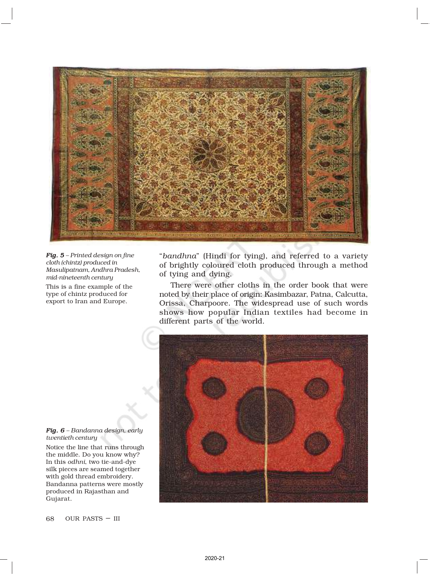

*Fig. 5 – Printed design on fine cloth (chintz) produced in Masulipatnam, Andhra Pradesh, mid-nineteenth century* This is a fine example of the type of chintz produced for export to Iran and Europe.

"*bandhna*" (Hindi for tying), and referred to a variety of brightly coloured cloth produced through a method of tying and dying.

There were other cloths in the order book that were noted by their place of origin: Kasimbazar, Patna, Calcutta, Orissa, Charpoore. The widespread use of such words shows how popular Indian textiles had become in different parts of the world.



*Fig. 6 – Bandanna design, early twentieth century*

Notice the line that runs through the middle. Do you know why? In this *odhni*, two tie-and-dye silk pieces are seamed together with gold thread embroidery. Bandanna patterns were mostly produced in Rajasthan and Gujarat.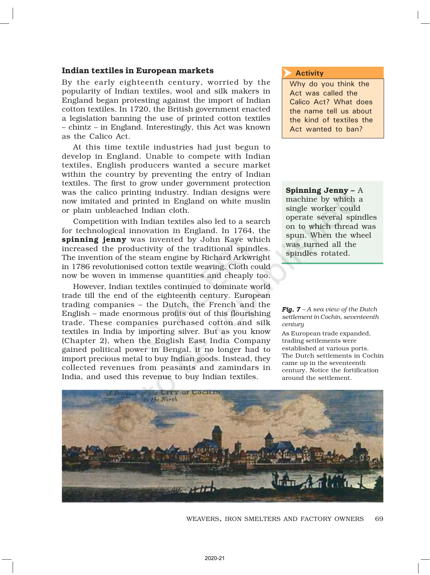### Indian textiles in European markets

By the early eighteenth century, worried by the popularity of Indian textiles, wool and silk makers in England began protesting against the import of Indian cotton textiles. In 1720, the British government enacted a legislation banning the use of printed cotton textiles – chintz *–* in England. Interestingly, this Act was known as the Calico Act.

At this time textile industries had just begun to develop in England. Unable to compete with Indian textiles, English producers wanted a secure market within the country by preventing the entry of Indian textiles. The first to grow under government protection was the calico printing industry. Indian designs were now imitated and printed in England on white muslin or plain unbleached Indian cloth.

Competition with Indian textiles also led to a search for technological innovation in England. In 1764, the spinning jenny was invented by John Kaye which increased the productivity of the traditional spindles. The invention of the steam engine by Richard Arkwright in 1786 revolutionised cotton textile weaving. Cloth could now be woven in immense quantities and cheaply too.

However, Indian textiles continued to dominate world trade till the end of the eighteenth century. European trading companies – the Dutch, the French and the English – made enormous profits out of this flourishing trade. These companies purchased cotton and silk textiles in India by importing silver. But as you know (Chapter 2), when the English East India Company gained political power in Bengal, it no longer had to import precious metal to buy Indian goods. Instead, they collected revenues from peasants and zamindars in India, and used this revenue to buy Indian textiles.

#### **Activity**  $\overline{\blacktriangleright}$

Why do you think the Act was called the Calico Act? What does the name tell us about the kind of textiles the Act wanted to ban?

### Spinning Jenny – A

machine by which a single worker could operate several spindles on to which thread was spun. When the wheel was turned all the spindles rotated.

*Fig. 7 – A sea view of the Dutch settlement in Cochin, seventeenth century*

As European trade expanded, trading settlements were established at various ports. The Dutch settlements in Cochin came up in the seventeenth century. Notice the fortification around the settlement.



69 WEAVERS, IRON SMELTERS AND FACTORY OWNERS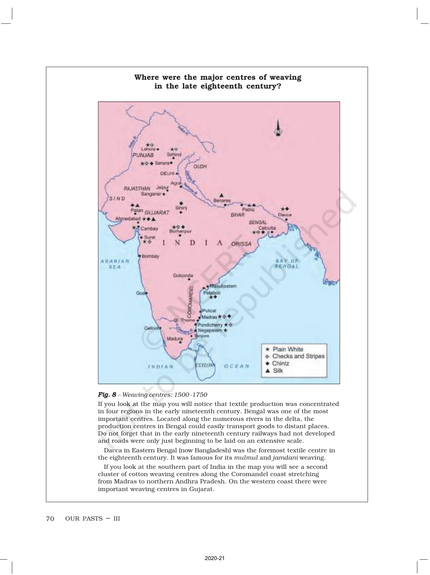

### *Fig. 8 – Weaving centres: 1500-1750*

If you look at the map you will notice that textile production was concentrated in four regions in the early nineteenth century. Bengal was one of the most important centres. Located along the numerous rivers in the delta, the production centres in Bengal could easily transport goods to distant places. Do not forget that in the early nineteenth century railways had not developed and roads were only just beginning to be laid on an extensive scale.

Dacca in Eastern Bengal (now Bangladesh) was the foremost textile centre in the eighteenth century. It was famous for its *mulmul* and *jamdani* weaving*.*

If you look at the southern part of India in the map you will see a second cluster of cotton weaving centres along the Coromandel coast stretching from Madras to northern Andhra Pradesh. On the western coast there were important weaving centres in Gujarat.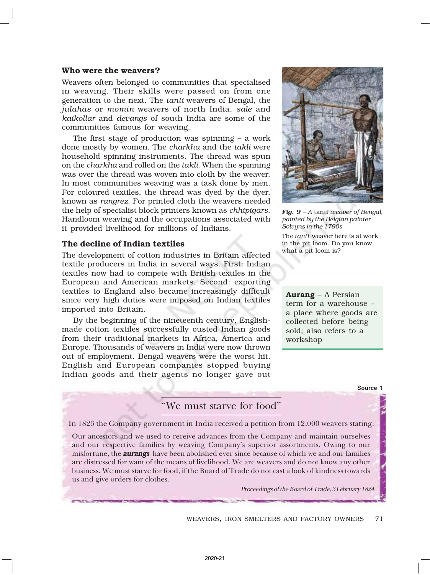### Who were the weavers?

Weavers often belonged to communities that specialised in weaving. Their skills were passed on from one generation to the next. The *tanti* weavers of Bengal, the *julahas* or *momin* weavers of north India, *sale* and *kaikollar* and *devangs* of south India are some of the communities famous for weaving.

The first stage of production was spinning – a work done mostly by women. The *charkha* and the *takli* were household spinning instruments. The thread was spun on the *charkha* and rolled on the *takli*. When the spinning was over the thread was woven into cloth by the weaver. In most communities weaving was a task done by men. For coloured textiles, the thread was dyed by the dyer, known as *rangrez*. For printed cloth the weavers needed the help of specialist block printers known as *chhipigars*. Handloom weaving and the occupations associated with it provided livelihood for millions of Indians.

### The decline of Indian textiles

The development of cotton industries in Britain affected textile producers in India in several ways. First: Indian textiles now had to compete with British textiles in the European and American markets. Second: exporting textiles to England also became increasingly difficult since very high duties were imposed on Indian textiles imported into Britain.

By the beginning of the nineteenth century, Englishmade cotton textiles successfully ousted Indian goods from their traditional markets in Africa, America and Europe. Thousands of weavers in India were now thrown out of employment. Bengal weavers were the worst hit. English and European companies stopped buying Indian goods and their agents no longer gave out



*Fig. 9 – A* tanti *weaver of Bengal, painted by the Belgian painter Solvyns in the 1790s* The *tanti* weaver here is at work in the pit loom. Do you know what a pit loom is?

**Aurang** – A Persian term for a warehouse – a place where goods are collected before being sold; also refers to a workshop

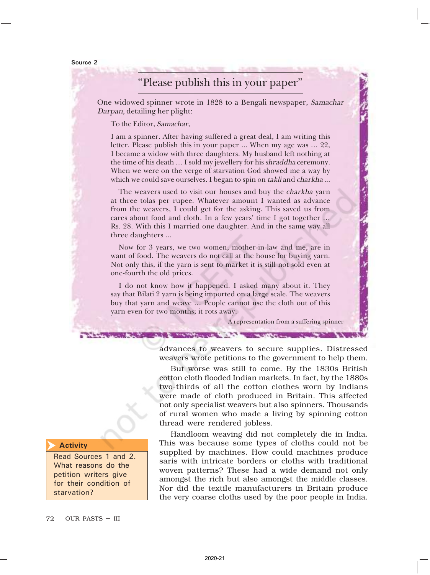Source 2

# "Please publish this in your paper"

One widowed spinner wrote in 1828 to a Bengali newspaper, Samachar Darpan, detailing her plight:

To the Editor, Samachar,

I am a spinner. After having suffered a great deal, I am writing this letter. Please publish this in your paper ... When my age was … 22, I became a widow with three daughters. My husband left nothing at the time of his death … I sold my jewellery for his shraddha ceremony. When we were on the verge of starvation God showed me a way by which we could save ourselves. I began to spin on takli and *charkha* ...

The weavers used to visit our houses and buy the *charkha* yarn at three tolas per rupee. Whatever amount I wanted as advance from the weavers, I could get for the asking. This saved us from cares about food and cloth. In a few years' time I got together … Rs. 28. With this I married one daughter. And in the same way all three daughters ...

Now for 3 years, we two women, mother-in-law and me, are in want of food. The weavers do not call at the house for buying yarn. Not only this, if the yarn is sent to market it is still not sold even at one-fourth the old prices.

I do not know how it happened. I asked many about it. They say that Bilati 2 yarn is being imported on a large scale. The weavers buy that yarn and weave … People cannot use the cloth out of this yarn even for two months; it rots away.

**THE REPORT OF A REPORT OF A REPORT OF A REPORT OF A REPORT OF A REPORT OF A REPORT OF A REPORT OF A REPORT OF A** 

A representation from a suffering spinner

advances to weavers to secure supplies. Distressed weavers wrote petitions to the government to help them.

But worse was still to come. By the 1830s British cotton cloth flooded Indian markets. In fact, by the 1880s two-thirds of all the cotton clothes worn by Indians were made of cloth produced in Britain. This affected not only specialist weavers but also spinners. Thousands of rural women who made a living by spinning cotton thread were rendered jobless.

Handloom weaving did not completely die in India. This was because some types of cloths could not be supplied by machines. How could machines produce saris with intricate borders or cloths with traditional woven patterns? These had a wide demand not only amongst the rich but also amongst the middle classes. Nor did the textile manufacturers in Britain produce the very coarse cloths used by the poor people in India.

#### **Activity**  $\overline{\blacktriangleright}$

Read Sources 1 and 2. What reasons do the petition writers give for their condition of starvation?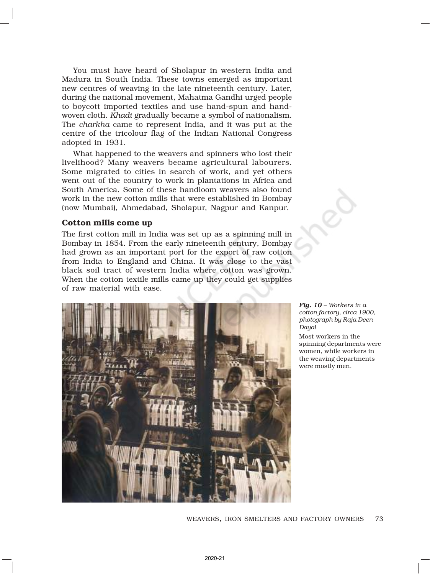You must have heard of Sholapur in western India and Madura in South India. These towns emerged as important new centres of weaving in the late nineteenth century. Later, during the national movement, Mahatma Gandhi urged people to boycott imported textiles and use hand-spun and handwoven cloth. *Khadi* gradually became a symbol of nationalism. The *charkha* came to represent India, and it was put at the centre of the tricolour flag of the Indian National Congress adopted in 1931.

What happened to the weavers and spinners who lost their livelihood? Many weavers became agricultural labourers. Some migrated to cities in search of work, and yet others went out of the country to work in plantations in Africa and South America. Some of these handloom weavers also found work in the new cotton mills that were established in Bombay (now Mumbai), Ahmedabad, Sholapur, Nagpur and Kanpur.

### Cotton mills come up

The first cotton mill in India was set up as a spinning mill in Bombay in 1854. From the early nineteenth century, Bombay had grown as an important port for the export of raw cotton from India to England and China. It was close to the vast black soil tract of western India where cotton was grown. When the cotton textile mills came up they could get supplies of raw material with ease.



*Fig. 10 – Workers in a cotton factory, circa 1900, photograph by Raja Deen Dayal*

Most workers in the spinning departments were women, while workers in the weaving departments were mostly men.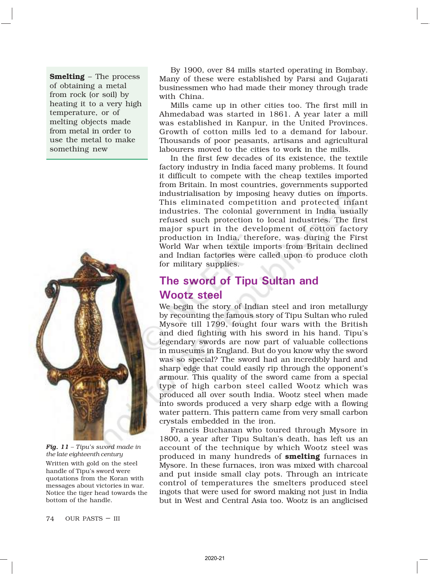Smelting – The process of obtaining a metal from rock (or soil) by heating it to a very high temperature, or of melting objects made from metal in order to use the metal to make something new



*Fig. 11 - Tipu's sword made in the late eighteenth century* Written with gold on the steel handle of Tipu's sword were quotations from the Koran with messages about victories in war. Notice the tiger head towards the bottom of the handle.

By 1900, over 84 mills started operating in Bombay. Many of these were established by Parsi and Gujarati businessmen who had made their money through trade with China.

Mills came up in other cities too. The first mill in Ahmedabad was started in 1861. A year later a mill was established in Kanpur, in the United Provinces. Growth of cotton mills led to a demand for labour. Thousands of poor peasants, artisans and agricultural labourers moved to the cities to work in the mills.

In the first few decades of its existence, the textile factory industry in India faced many problems. It found it difficult to compete with the cheap textiles imported from Britain. In most countries, governments supported industrialisation by imposing heavy duties on imports. This eliminated competition and protected infant industries. The colonial government in India usually refused such protection to local industries. The first major spurt in the development of cotton factory production in India, therefore, was during the First World War when textile imports from Britain declined and Indian factories were called upon to produce cloth for military supplies.

# The sword of Tipu Sultan and Wootz steel

We begin the story of Indian steel and iron metallurgy by recounting the famous story of Tipu Sultan who ruled Mysore till 1799, fought four wars with the British and died fighting with his sword in his hand. Tipu's legendary swords are now part of valuable collections in museums in England. But do you know why the sword was so special? The sword had an incredibly hard and sharp edge that could easily rip through the opponent's armour. This quality of the sword came from a special type of high carbon steel called Wootz which was produced all over south India. Wootz steel when made into swords produced a very sharp edge with a flowing water pattern. This pattern came from very small carbon crystals embedded in the iron.

Francis Buchanan who toured through Mysore in 1800, a year after Tipu Sultan's death, has left us an account of the technique by which Wootz steel was produced in many hundreds of smelting furnaces in Mysore. In these furnaces, iron was mixed with charcoal and put inside small clay pots. Through an intricate control of temperatures the smelters produced steel ingots that were used for sword making not just in India but in West and Central Asia too. Wootz is an anglicised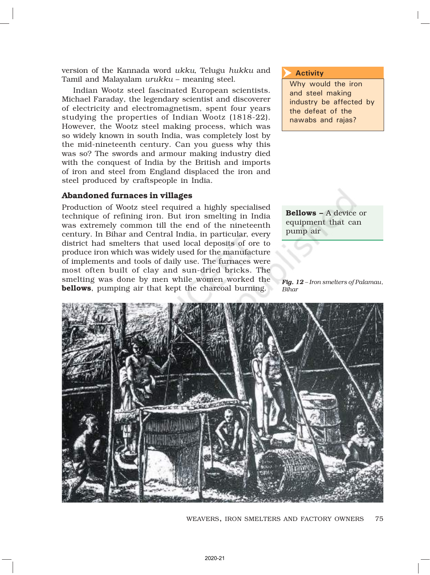version of the Kannada word *ukku,* Telugu *hukku* and Tamil and Malayalam *urukku* – meaning steel.

Indian Wootz steel fascinated European scientists. Michael Faraday, the legendary scientist and discoverer of electricity and electromagnetism, spent four years studying the properties of Indian Wootz (1818-22). However, the Wootz steel making process, which was so widely known in south India, was completely lost by the mid-nineteenth century. Can you guess why this was so? The swords and armour making industry died with the conquest of India by the British and imports of iron and steel from England displaced the iron and steel produced by craftspeople in India.

### Abandoned furnaces in villages

Production of Wootz steel required a highly specialised technique of refining iron. But iron smelting in India was extremely common till the end of the nineteenth century. In Bihar and Central India, in particular, every district had smelters that used local deposits of ore to produce iron which was widely used for the manufacture of implements and tools of daily use. The furnaces were most often built of clay and sun-dried bricks. The smelting was done by men while women worked the bellows, pumping air that kept the charcoal burning.

#### **Activity**  $\overline{\blacktriangleright}$

Why would the iron and steel making industry be affected by the defeat of the nawabs and rajas?

Bellows – A device or equipment that can pump air

*Fig. 12 – Iron smelters of Palamau, Bihar*



75 WEAVERS, IRON SMELTERS AND FACTORY OWNERS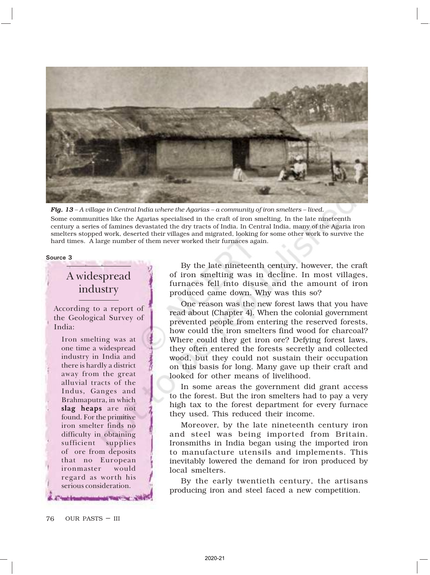

*Fig. 13 – A village in Central India where the Agarias – a community of iron smelters – lived.* Some communities like the Agarias specialised in the craft of iron smelting. In the late nineteenth century a series of famines devastated the dry tracts of India. In Central India, many of the Agaria iron smelters stopped work, deserted their villages and migrated, looking for some other work to survive the hard times. A large number of them never worked their furnaces again.

#### Source 3

# A widespread industry

According to a report of the Geological Survey of India:

Iron smelting was at one time a widespread industry in India and there is hardly a district away from the great alluvial tracts of the Indus, Ganges and Brahmaputra, in which slag heaps are not found. For the primitive iron smelter finds no difficulty in obtaining sufficient supplies of ore from deposits that no European ironmaster would regard as worth his serious consideration.

By the late nineteenth century, however, the craft of iron smelting was in decline. In most villages, furnaces fell into disuse and the amount of iron produced came down. Why was this so?

One reason was the new forest laws that you have read about (Chapter 4). When the colonial government prevented people from entering the reserved forests, how could the iron smelters find wood for charcoal? Where could they get iron ore? Defying forest laws, they often entered the forests secretly and collected wood, but they could not sustain their occupation on this basis for long. Many gave up their craft and looked for other means of livelihood.

In some areas the government did grant access to the forest. But the iron smelters had to pay a very high tax to the forest department for every furnace they used. This reduced their income.

Moreover, by the late nineteenth century iron and steel was being imported from Britain. Ironsmiths in India began using the imported iron to manufacture utensils and implements. This inevitably lowered the demand for iron produced by local smelters.

By the early twentieth century, the artisans producing iron and steel faced a new competition.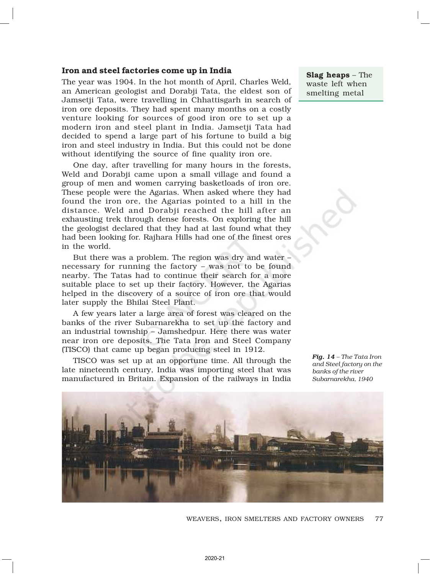### Iron and steel factories come up in India

The year was 1904. In the hot month of April, Charles Weld, an American geologist and Dorabji Tata, the eldest son of Jamsetji Tata, were travelling in Chhattisgarh in search of iron ore deposits. They had spent many months on a costly venture looking for sources of good iron ore to set up a modern iron and steel plant in India. Jamsetji Tata had decided to spend a large part of his fortune to build a big iron and steel industry in India. But this could not be done without identifying the source of fine quality iron ore.

One day, after travelling for many hours in the forests, Weld and Dorabji came upon a small village and found a group of men and women carrying basketloads of iron ore. These people were the Agarias. When asked where they had found the iron ore, the Agarias pointed to a hill in the distance. Weld and Dorabji reached the hill after an exhausting trek through dense forests. On exploring the hill the geologist declared that they had at last found what they had been looking for. Rajhara Hills had one of the finest ores in the world.

But there was a problem. The region was dry and water – necessary for running the factory – was not to be found nearby. The Tatas had to continue their search for a more suitable place to set up their factory. However, the Agarias helped in the discovery of a source of iron ore that would later supply the Bhilai Steel Plant.

A few years later a large area of forest was cleared on the banks of the river Subarnarekha to set up the factory and an industrial township – Jamshedpur. Here there was water near iron ore deposits. The Tata Iron and Steel Company (TISCO) that came up began producing steel in 1912.

TISCO was set up at an opportune time. All through the late nineteenth century, India was importing steel that was manufactured in Britain. Expansion of the railways in India

Slag heaps – The waste left when smelting metal

Fig. 14 – The Tata Iron *and Steel factory on the banks of the river Subarnarekha, 1940*



77 WEAVERS, IRON SMELTERS AND FACTORY OWNERS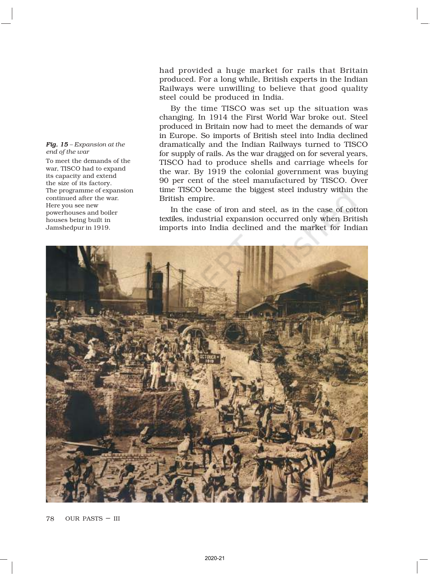#### *Fig. 15 Fig. – Expansion at the end of the war*

To meet the demands of the war, TISCO had to expand its capacity and extend the size of its factory. The programme of expansion continued after the war. Here you see new powerhouses and boiler houses being built in Jamshedpur in 1919.

had provided a huge market for rails that Britain produced. For a long while, British experts in the Indian Railways were unwilling to believe that good quality steel could be produced in India.

By the time TISCO was set up the situation was changing. In 1914 the First World War broke out. Steel produced in Britain now had to meet the demands of war in Europe. So imports of British steel into India declined dramatically and the Indian Railways turned to TISCO for supply of rails. As the war dragged on for several years, TISCO had to produce shells and carriage wheels for the war. By 1919 the colonial government was buying 90 per cent of the steel manufactured by TISCO. Over time TISCO became the biggest steel industry within the British empire.

In the case of iron and steel, as in the case of cotton textiles, industrial expansion occurred only when British imports into India declined and the market for Indian

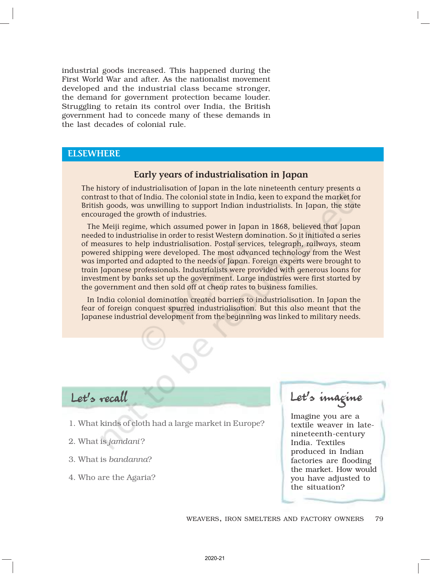industrial goods increased. This happened during the First World War and after. As the nationalist movement developed and the industrial class became stronger, the demand for government protection became louder. Struggling to retain its control over India, the British government had to concede many of these demands in the last decades of colonial rule.

### **ELSEWHERE**

## Early years of industrialisation in Japan

The history of industrialisation of Japan in the late nineteenth century presents a contrast to that of India. The colonial state in India, keen to expand the market for British goods, was unwilling to support Indian industrialists. In Japan, the state encouraged the growth of industries.

The Meiji regime, which assumed power in Japan in 1868, believed that Japan needed to industrialise in order to resist Western domination. So it initiated a series of measures to help industrialisation. Postal services, telegraph, railways, steam powered shipping were developed. The most advanced technology from the West was imported and adapted to the needs of Japan. Foreign experts were brought to train Japanese professionals. Industrialists were provided with generous loans for investment by banks set up the government. Large industries were first started by the government and then sold off at cheap rates to business families.

In India colonial domination created barriers to industrialisation. In Japan the fear of foreign conquest spurred industrialisation. But this also meant that the Japanese industrial development from the beginning was linked to military needs.

Let's recall

- 1. What kinds of cloth had a large market in Europe?
- 2. What is *jamdani* ?
- 3. What is *bandanna*?
- 4. Who are the Agaria?

Let's imagine

Imagine you are a textile weaver in latenineteenth-century India. Textiles produced in Indian factories are flooding the market. How would you have adjusted to the situation?